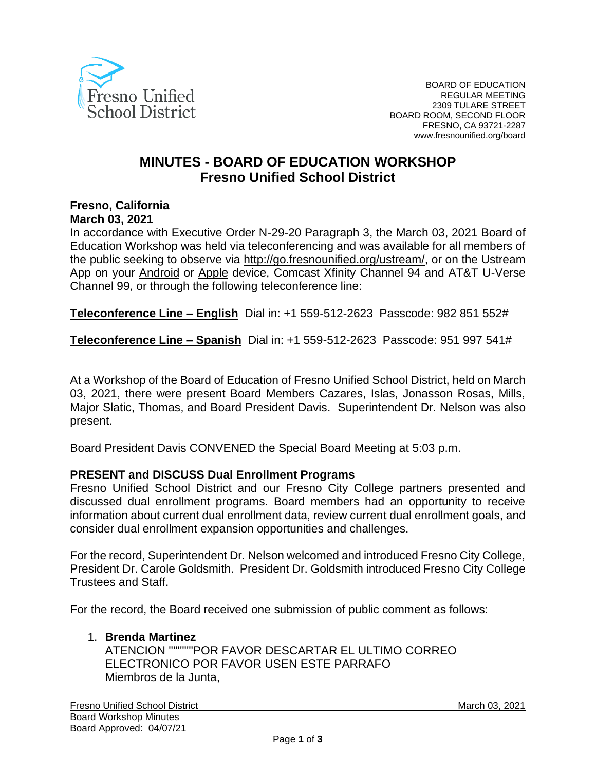

# **MINUTES - BOARD OF EDUCATION WORKSHOP Fresno Unified School District**

#### **Fresno, California March 03, 2021**

In accordance with Executive Order N-29-20 Paragraph 3, the March 03, 2021 Board of Education Workshop was held via teleconferencing and was available for all members of the public seeking to observe via <http://go.fresnounified.org/ustream/>, or on the Ustream App on your [Android](https://play.google.com/store/apps/details?id=tv.ustream.ustream&hl=en_US) or [Apple](https://itunes.apple.com/us/app/ustream/id301520250?mt=8) device, Comcast Xfinity Channel 94 and AT&T U-Verse Channel 99, or through the following teleconference line:

**Teleconference Line – English** Dial in: +1 559-512-2623 Passcode: 982 851 552#

**Teleconference Line – Spanish** Dial in: +1 559-512-2623 Passcode: 951 997 541#

At a Workshop of the Board of Education of Fresno Unified School District, held on March 03, 2021, there were present Board Members Cazares, Islas, Jonasson Rosas, Mills, Major Slatic, Thomas, and Board President Davis. Superintendent Dr. Nelson was also present.

Board President Davis CONVENED the Special Board Meeting at 5:03 p.m.

## **PRESENT and DISCUSS Dual Enrollment Programs**

Fresno Unified School District and our Fresno City College partners presented and discussed dual enrollment programs. Board members had an opportunity to receive information about current dual enrollment data, review current dual enrollment goals, and consider dual enrollment expansion opportunities and challenges.

For the record, Superintendent Dr. Nelson welcomed and introduced Fresno City College, President Dr. Carole Goldsmith. President Dr. Goldsmith introduced Fresno City College Trustees and Staff.

For the record, the Board received one submission of public comment as follows:

#### 1. **Brenda Martinez**

ATENCION '''''''''''POR FAVOR DESCARTAR EL ULTIMO CORREO ELECTRONICO POR FAVOR USEN ESTE PARRAFO Miembros de la Junta,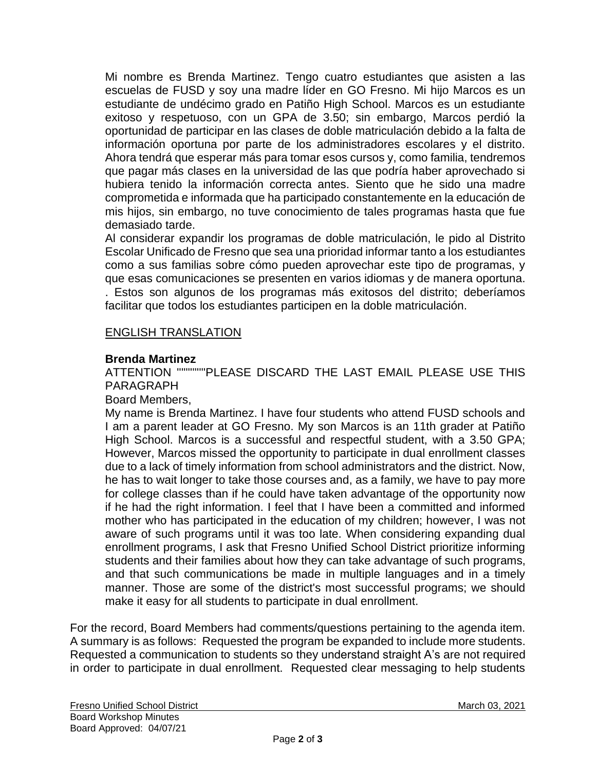Mi nombre es Brenda Martinez. Tengo cuatro estudiantes que asisten a las escuelas de FUSD y soy una madre líder en GO Fresno. Mi hijo Marcos es un estudiante de undécimo grado en Patiño High School. Marcos es un estudiante exitoso y respetuoso, con un GPA de 3.50; sin embargo, Marcos perdió la oportunidad de participar en las clases de doble matriculación debido a la falta de información oportuna por parte de los administradores escolares y el distrito. Ahora tendrá que esperar más para tomar esos cursos y, como familia, tendremos que pagar más clases en la universidad de las que podría haber aprovechado si hubiera tenido la información correcta antes. Siento que he sido una madre comprometida e informada que ha participado constantemente en la educación de mis hijos, sin embargo, no tuve conocimiento de tales programas hasta que fue demasiado tarde.

Al considerar expandir los programas de doble matriculación, le pido al Distrito Escolar Unificado de Fresno que sea una prioridad informar tanto a los estudiantes como a sus familias sobre cómo pueden aprovechar este tipo de programas, y que esas comunicaciones se presenten en varios idiomas y de manera oportuna. . Estos son algunos de los programas más exitosos del distrito; deberíamos facilitar que todos los estudiantes participen en la doble matriculación.

# ENGLISH TRANSLATION

## **Brenda Martinez**

ATTENTION '''''''''''''PLEASE DISCARD THE LAST EMAIL PLEASE USE THIS PARAGRAPH

## Board Members,

My name is Brenda Martinez. I have four students who attend FUSD schools and I am a parent leader at GO Fresno. My son Marcos is an 11th grader at Patiño High School. Marcos is a successful and respectful student, with a 3.50 GPA; However, Marcos missed the opportunity to participate in dual enrollment classes due to a lack of timely information from school administrators and the district. Now, he has to wait longer to take those courses and, as a family, we have to pay more for college classes than if he could have taken advantage of the opportunity now if he had the right information. I feel that I have been a committed and informed mother who has participated in the education of my children; however, I was not aware of such programs until it was too late. When considering expanding dual enrollment programs, I ask that Fresno Unified School District prioritize informing students and their families about how they can take advantage of such programs, and that such communications be made in multiple languages and in a timely manner. Those are some of the district's most successful programs; we should make it easy for all students to participate in dual enrollment.

For the record, Board Members had comments/questions pertaining to the agenda item. A summary is as follows: Requested the program be expanded to include more students. Requested a communication to students so they understand straight A's are not required in order to participate in dual enrollment. Requested clear messaging to help students